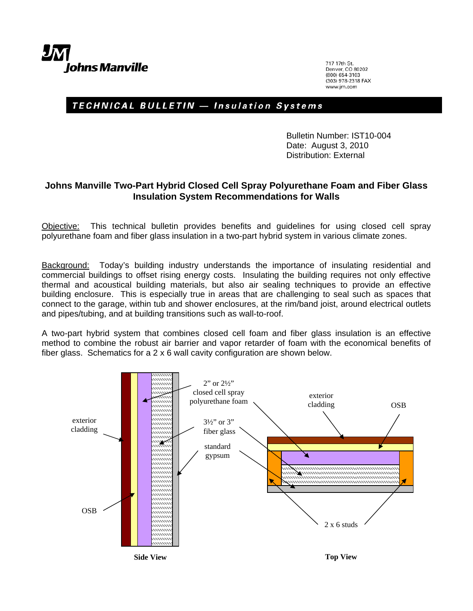717 17th St. Denver, CO 80202 (800) 654-3103 (303) 978-2318 FAX www.im.com

## TECHNICAL BULLETIN - Insulation Systems

Bulletin Number: IST10-004 Date: August 3, 2010 Distribution: External

## **Johns Manville Two-Part Hybrid Closed Cell Spray Polyurethane Foam and Fiber Glass Insulation System Recommendations for Walls**

Objective: This technical bulletin provides benefits and guidelines for using closed cell spray polyurethane foam and fiber glass insulation in a two-part hybrid system in various climate zones.

Background: Today's building industry understands the importance of insulating residential and commercial buildings to offset rising energy costs. Insulating the building requires not only effective thermal and acoustical building materials, but also air sealing techniques to provide an effective building enclosure. This is especially true in areas that are challenging to seal such as spaces that connect to the garage, within tub and shower enclosures, at the rim/band joist, around electrical outlets and pipes/tubing, and at building transitions such as wall-to-roof.

A two-part hybrid system that combines closed cell foam and fiber glass insulation is an effective method to combine the robust air barrier and vapor retarder of foam with the economical benefits of fiber glass. Schematics for a 2 x 6 wall cavity configuration are shown below.

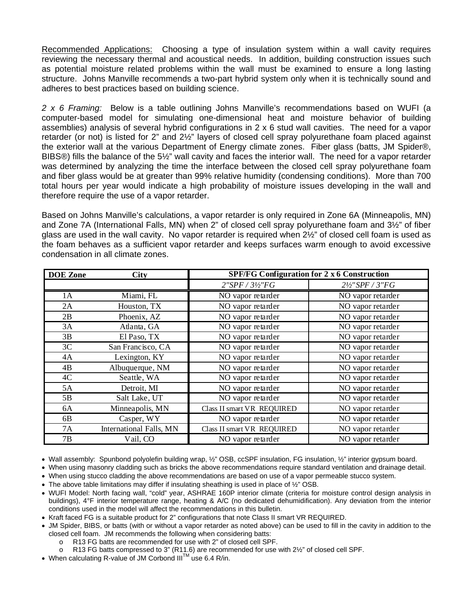Recommended Applications: Choosing a type of insulation system within a wall cavity requires reviewing the necessary thermal and acoustical needs. In addition, building construction issues such as potential moisture related problems within the wall must be examined to ensure a long lasting structure. Johns Manville recommends a two-part hybrid system only when it is technically sound and adheres to best practices based on building science.

*2 x 6 Framing:* Below is a table outlining Johns Manville's recommendations based on WUFI (a computer-based model for simulating one-dimensional heat and moisture behavior of building assemblies) analysis of several hybrid configurations in 2 x 6 stud wall cavities. The need for a vapor retarder (or not) is listed for 2" and 2½" layers of closed cell spray polyurethane foam placed against the exterior wall at the various Department of Energy climate zones. Fiber glass (batts, JM Spider®, BIBS®) fills the balance of the 5½" wall cavity and faces the interior wall. The need for a vapor retarder was determined by analyzing the time the interface between the closed cell spray polyurethane foam and fiber glass would be at greater than 99% relative humidity (condensing conditions). More than 700 total hours per year would indicate a high probability of moisture issues developing in the wall and therefore require the use of a vapor retarder.

Based on Johns Manville's calculations, a vapor retarder is only required in Zone 6A (Minneapolis, MN) and Zone 7A (International Falls, MN) when 2" of closed cell spray polyurethane foam and 3½" of fiber glass are used in the wall cavity. No vapor retarder is required when 2½" of closed cell foam is used as the foam behaves as a sufficient vapor retarder and keeps surfaces warm enough to avoid excessive condensation in all climate zones.

| <b>DOE</b> Zone | <b>City</b>             | <b>SPF/FG Configuration for 2 x 6 Construction</b> |                            |  |
|-----------------|-------------------------|----------------------------------------------------|----------------------------|--|
|                 |                         | 2"SPF / 3!/2"FG                                    | $2\frac{1}{2}$ "SPF / 3"FG |  |
| 1A              | Miami, FL               | NO vapor retarder                                  | NO vapor retarder          |  |
| 2A              | Houston, TX             | NO vapor retarder                                  | NO vapor retarder          |  |
| 2B              | Phoenix, AZ             | NO vapor retarder                                  | NO vapor retarder          |  |
| 3A              | Atlanta, GA             | NO vapor retarder                                  | NO vapor retarder          |  |
| 3B              | El Paso, TX             | NO vapor retarder                                  | NO vapor retarder          |  |
| 3C              | San Francisco, CA       | NO vapor retarder                                  | NO vapor retarder          |  |
| 4A              | Lexington, KY           | NO vapor retarder                                  | NO vapor retarder          |  |
| 4B              | Albuquerque, NM         | NO vapor retarder                                  | NO vapor retarder          |  |
| 4C              | Seattle, WA             | NO vapor retarder                                  | NO vapor retarder          |  |
| 5A              | Detroit, MI             | NO vapor retarder                                  | NO vapor retarder          |  |
| 5B              | Salt Lake, UT           | NO vapor retarder                                  | NO vapor retarder          |  |
| 6A              | Minneapolis, MN         | Class II smart VR REQUIRED                         | NO vapor retarder          |  |
| 6B              | Casper, WY              | NO vapor retarder                                  | NO vapor retarder          |  |
| 7A              | International Falls, MN | Class II smart VR REQUIRED                         | NO vapor retarder          |  |
| 7В              | Vail, CO                | NO vapor retarder                                  | NO vapor retarder          |  |

• Wall assembly: Spunbond polyolefin building wrap, ½" OSB, ccSPF insulation, FG insulation, ½" interior gypsum board.

• When using masonry cladding such as bricks the above recommendations require standard ventilation and drainage detail.

• When using stucco cladding the above recommendations are based on use of a vapor permeable stucco system.

• The above table limitations may differ if insulating sheathing is used in place of  $\frac{1}{2}$ " OSB.

- WUFI Model: North facing wall, "cold" year, ASHRAE 160P interior climate (criteria for moisture control design analysis in buildings), 4°F interior temperature range, heating & A/C (no dedicated dehumidification). Any deviation from the interior conditions used in the model will affect the recommendations in this bulletin.
- Kraft faced FG is a suitable product for 2" configurations that note Class II smart VR REQUIRED.
- JM Spider, BIBS, or batts (with or without a vapor retarder as noted above) can be used to fill in the cavity in addition to the closed cell foam. JM recommends the following when considering batts:
	- o R13 FG batts are recommended for use with 2" of closed cell SPF.
	- $\circ$  R13 FG batts compressed to 3" (R11.6) are recommended for use with 2 $\frac{1}{2}$ " of closed cell SPF.
- When calculating R-value of JM Corbond III<sup>TM</sup> use 6.4 R/in.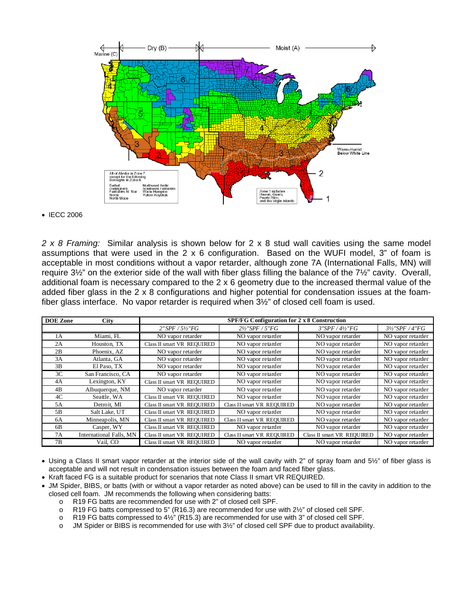

## • IECC 2006

*2 x 8 Framing:* Similar analysis is shown below for 2 x 8 stud wall cavities using the same model assumptions that were used in the 2 x 6 configuration. Based on the WUFI model, 3" of foam is acceptable in most conditions without a vapor retarder, although zone 7A (International Falls, MN) will require 3½" on the exterior side of the wall with fiber glass filling the balance of the 7½" cavity. Overall, additional foam is necessary compared to the 2 x 6 geometry due to the increased thermal value of the added fiber glass in the 2 x 8 configurations and higher potential for condensation issues at the foamfiber glass interface. No vapor retarder is required when  $3\frac{1}{2}$ " of closed cell foam is used.

| <b>DOE</b> Zone | <b>City</b>             | <b>SPF/FG Configuration for 2 x 8 Construction</b> |                            |                            |                   |  |
|-----------------|-------------------------|----------------------------------------------------|----------------------------|----------------------------|-------------------|--|
|                 |                         | $2"SPF / 5\frac{1}{2}"FG$                          | 2½"SPF / 5"FG              | $3"SPF/4\frac{1}{2}"FG$    | 3½"SPF / 4"FG     |  |
| 1A              | Miami, FL               | NO vapor retarder                                  | NO vapor retarder          | NO vapor retarder          | NO vapor retarder |  |
| 2A              | Houston, TX             | Class II smart VR REQUIRED                         | NO vapor retarder          | NO vapor retarder          | NO vapor retarder |  |
| 2B              | Phoenix, AZ             | NO vapor retarder                                  | NO vapor retarder          | NO vapor retarder          | NO vapor retarder |  |
| 3A              | Atlanta, GA             | NO vapor retarder                                  | NO vapor retarder          | NO vapor retarder          | NO vapor retarder |  |
| 3B              | El Paso, TX             | NO vapor retarder                                  | NO vapor retarder          | NO vapor retarder          | NO vapor retarder |  |
| 3C              | San Francisco, CA       | NO vapor retarder                                  | NO vapor retarder          | NO vapor retarder          | NO vapor retarder |  |
| 4A              | Lexington, KY           | Class II smart VR REQUIRED                         | NO vapor retarder          | NO vapor retarder          | NO vapor retarder |  |
| 4B              | Albuquerque, NM         | NO vapor retarder                                  | NO vapor retarder          | NO vapor retarder          | NO vapor retarder |  |
| 4C              | Seattle, WA             | Class II smart VR REQUIRED                         | NO vapor retarder          | NO vapor retarder          | NO vapor retarder |  |
| 5A              | Detroit. MI             | Class II smart VR REQUIRED                         | Class II smart VR REQUIRED | NO vapor retarder          | NO vapor retarder |  |
| 5B              | Salt Lake, UT           | Class II smart VR REQUIRED                         | NO vapor retarder          | NO vapor retarder          | NO vapor retarder |  |
| 6A              | Minneapolis, MN         | Class II smart VR REQUIRED                         | Class II smart VR REQUIRED | NO vapor retarder          | NO vapor retarder |  |
| 6 <sub>B</sub>  | Casper, WY              | Class II smart VR REQUIRED                         | NO vapor retarder          | NO vapor retarder          | NO vapor retarder |  |
| 7A              | International Falls, MN | Class II smart VR REQUIRED                         | Class II smart VR REQUIRED | Class II smart VR REQUIRED | NO vapor retarder |  |
| 7В              | Vail, CO                | Class II smart VR REQUIRED                         | NO vapor retarder          | NO vapor retarder          | NO vapor retarder |  |

• Using a Class II smart vapor retarder at the interior side of the wall cavity with 2" of spray foam and 5½" of fiber glass is acceptable and will not result in condensation issues between the foam and faced fiber glass.

• Kraft faced FG is a suitable product for scenarios that note Class II smart VR REQUIRED.

- JM Spider, BIBS, or batts (with or without a vapor retarder as noted above) can be used to fill in the cavity in addition to the closed cell foam. JM recommends the following when considering batts:
	- o R19 FG batts are recommended for use with 2" of closed cell SPF.
	- o R19 FG batts compressed to 5" (R16.3) are recommended for use with 2½" of closed cell SPF.
	- o R19 FG batts compressed to 4½" (R15.3) are recommended for use with 3" of closed cell SPF.
	- o JM Spider or BIBS is recommended for use with 3½" of closed cell SPF due to product availability.